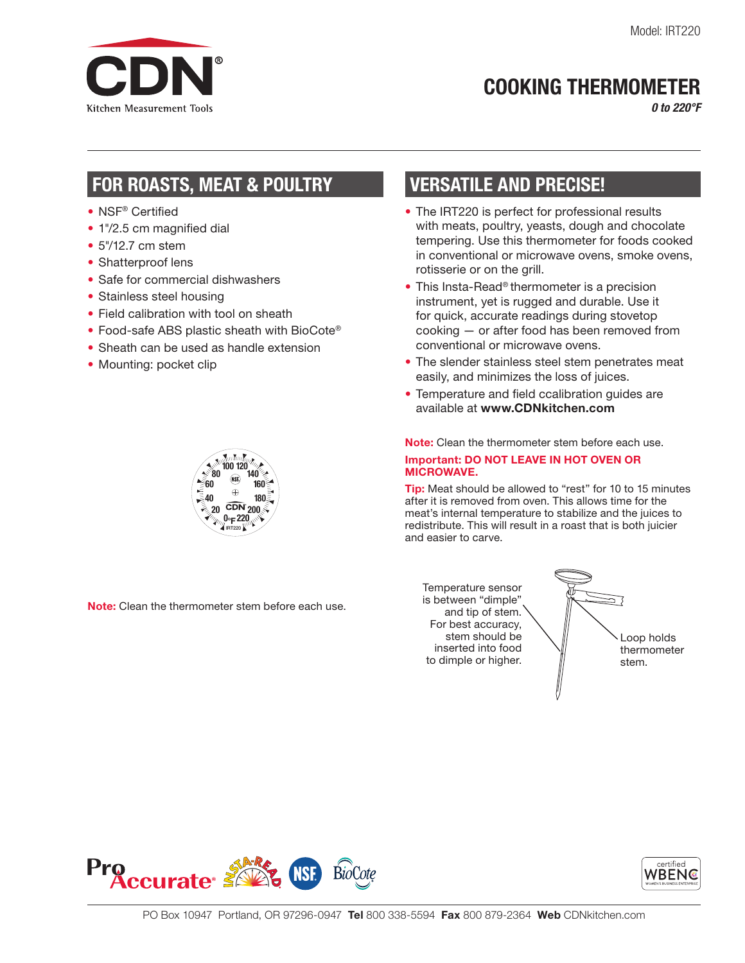

## COOKING THERMOMETER

*0 to 220°F*

## FOR ROASTS, MEAT & POULTRY

- NSF® Certified
- 1"/2.5 cm magnified dial
- 5"/12.7 cm stem
- Shatterproof lens
- Safe for commercial dishwashers
- Stainless steel housing
- Field calibration with tool on sheath
- Food-safe ABS plastic sheath with BioCote<sup>®</sup>
- Sheath can be used as handle extension
- Mounting: pocket clip

# VERSATILE AND PRECISE!

- The IRT220 is perfect for professional results with meats, poultry, yeasts, dough and chocolate tempering. Use this thermometer for foods cooked in conventional or microwave ovens, smoke ovens, rotisserie or on the grill.
- This Insta-Read® thermometer is a precision instrument, yet is rugged and durable. Use it for quick, accurate readings during stovetop cooking — or after food has been removed from conventional or microwave ovens.
- The slender stainless steel stem penetrates meat easily, and minimizes the loss of juices.
- Temperature and field ccalibration guides are available at www.CDNkitchen.com

Note: Clean the thermometer stem before each use. Important: DO NOT LEAVE IN HOT OVEN OR MICROWAVE.

Tip: Meat should be allowed to "rest" for 10 to 15 minutes after it is removed from oven. This allows time for the meat's internal temperature to stabilize and the juices to redistribute. This will result in a roast that is both juicier and easier to carve.

Note: Clean the thermometer stem before each use.

> Temperature sensor is between "dimple" and tip of stem. For best accuracy, stem should be inserted into food to dimple or higher.